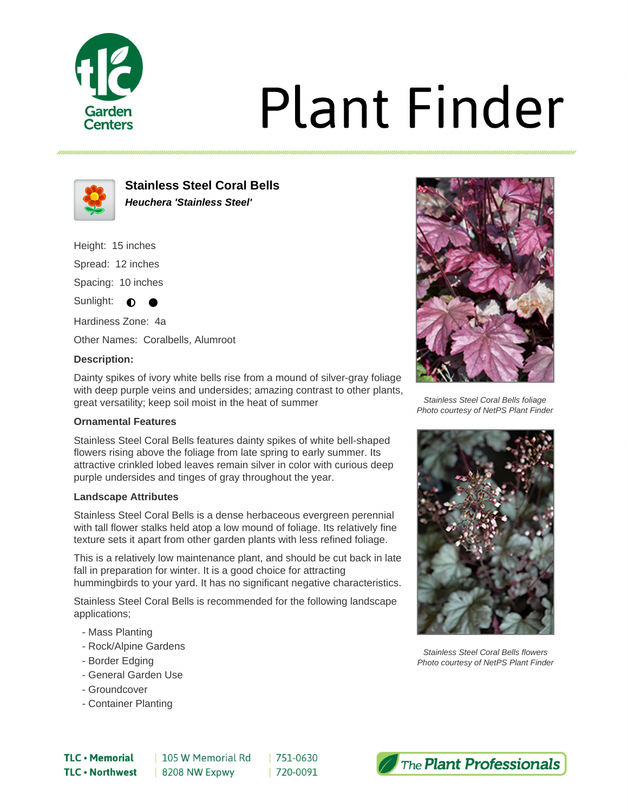

# **Plant Finder**



**Stainless Steel Coral Bells Heuchera 'Stainless Steel'**

Height: 15 inches

Spread: 12 inches Spacing: 10 inches

Sunlight: **O** 

Hardiness Zone: 4a

Other Names: Coralbells, Alumroot

# **Description:**

Dainty spikes of ivory white bells rise from a mound of silver-gray foliage with deep purple veins and undersides; amazing contrast to other plants, great versatility; keep soil moist in the heat of summer

### **Ornamental Features**

Stainless Steel Coral Bells features dainty spikes of white bell-shaped flowers rising above the foliage from late spring to early summer. Its attractive crinkled lobed leaves remain silver in color with curious deep purple undersides and tinges of gray throughout the year.

### **Landscape Attributes**

Stainless Steel Coral Bells is a dense herbaceous evergreen perennial with tall flower stalks held atop a low mound of foliage. Its relatively fine texture sets it apart from other garden plants with less refined foliage.

This is a relatively low maintenance plant, and should be cut back in late fall in preparation for winter. It is a good choice for attracting hummingbirds to your yard. It has no significant negative characteristics.

Stainless Steel Coral Bells is recommended for the following landscape applications;

- Mass Planting
- Rock/Alpine Gardens
- Border Edging
- General Garden Use
- Groundcover
- Container Planting



Stainless Steel Coral Bells foliage Photo courtesy of NetPS Plant Finder



Stainless Steel Coral Bells flowers Photo courtesy of NetPS Plant Finder